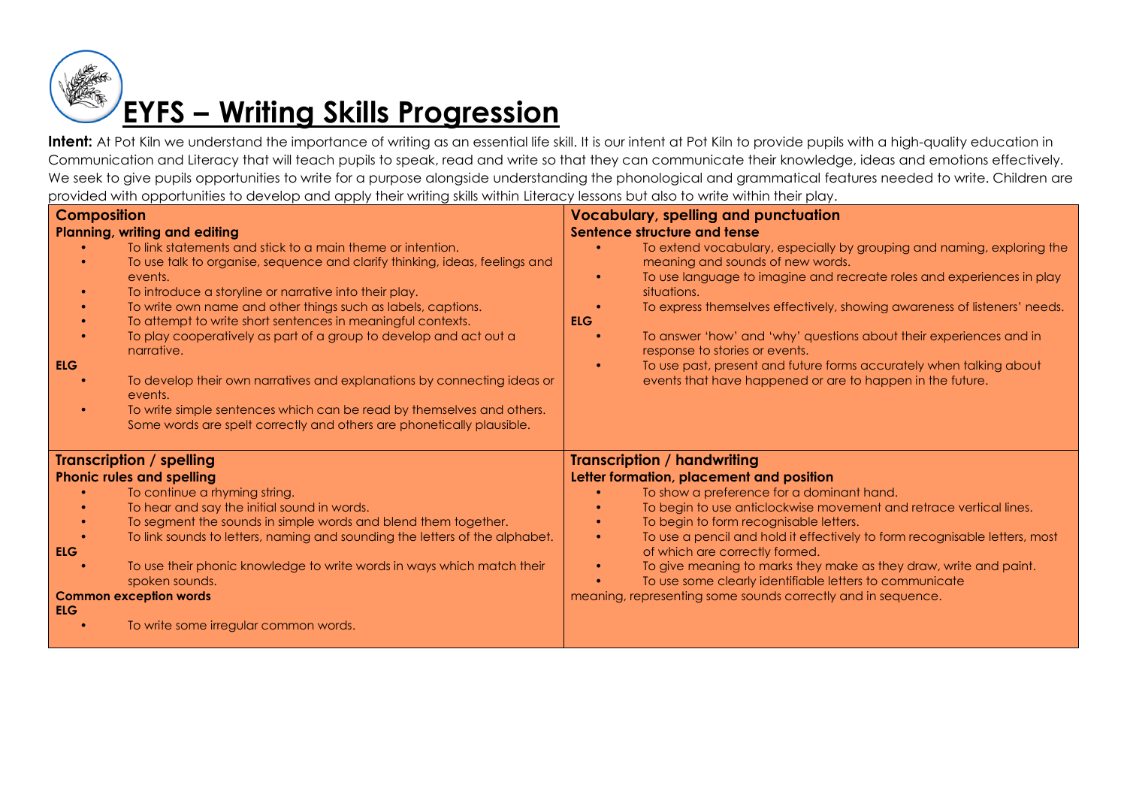

| <b>Composition</b><br><b>Planning, writing and editing</b><br>To link statements and stick to a main theme or intention.<br>To use talk to organise, sequence and clarify thinking, ideas, feelings and<br>events.<br>To introduce a storyline or narrative into their play.<br>To write own name and other things such as labels, captions.<br>To attempt to write short sentences in meaningful contexts.<br>To play cooperatively as part of a group to develop and act out a<br>narrative.<br><b>ELG</b><br>To develop their own narratives and explanations by connecting ideas or<br>events.<br>To write simple sentences which can be read by themselves and others.<br>Some words are spelt correctly and others are phonetically plausible. | <b>Vocabulary, spelling and punctuation</b><br><b>Sentence structure and tense</b><br>To extend vocabulary, especially by grouping and naming, exploring the<br>meaning and sounds of new words.<br>To use language to imagine and recreate roles and experiences in play<br>situations.<br>To express themselves effectively, showing awareness of listeners' needs.<br><b>ELG</b><br>To answer 'how' and 'why' questions about their experiences and in<br>response to stories or events.<br>To use past, present and future forms accurately when talking about<br>events that have happened or are to happen in the future. |
|------------------------------------------------------------------------------------------------------------------------------------------------------------------------------------------------------------------------------------------------------------------------------------------------------------------------------------------------------------------------------------------------------------------------------------------------------------------------------------------------------------------------------------------------------------------------------------------------------------------------------------------------------------------------------------------------------------------------------------------------------|---------------------------------------------------------------------------------------------------------------------------------------------------------------------------------------------------------------------------------------------------------------------------------------------------------------------------------------------------------------------------------------------------------------------------------------------------------------------------------------------------------------------------------------------------------------------------------------------------------------------------------|
| <b>Transcription / spelling</b><br><b>Phonic rules and spelling</b><br>To continue a rhyming string.<br>To hear and say the initial sound in words.<br>To segment the sounds in simple words and blend them together.<br>To link sounds to letters, naming and sounding the letters of the alphabet.<br>ELG<br>To use their phonic knowledge to write words in ways which match their<br>spoken sounds.<br><b>Common exception words</b><br><b>ELG</b><br>To write some irregular common words.                                                                                                                                                                                                                                                      | <b>Transcription / handwriting</b><br>Letter formation, placement and position<br>To show a preference for a dominant hand.<br>To begin to use anticlockwise movement and retrace vertical lines.<br>To begin to form recognisable letters.<br>To use a pencil and hold it effectively to form recognisable letters, most<br>$\bullet$<br>of which are correctly formed.<br>To give meaning to marks they make as they draw, write and paint.<br>To use some clearly identifiable letters to communicate<br>meaning, representing some sounds correctly and in sequence.                                                        |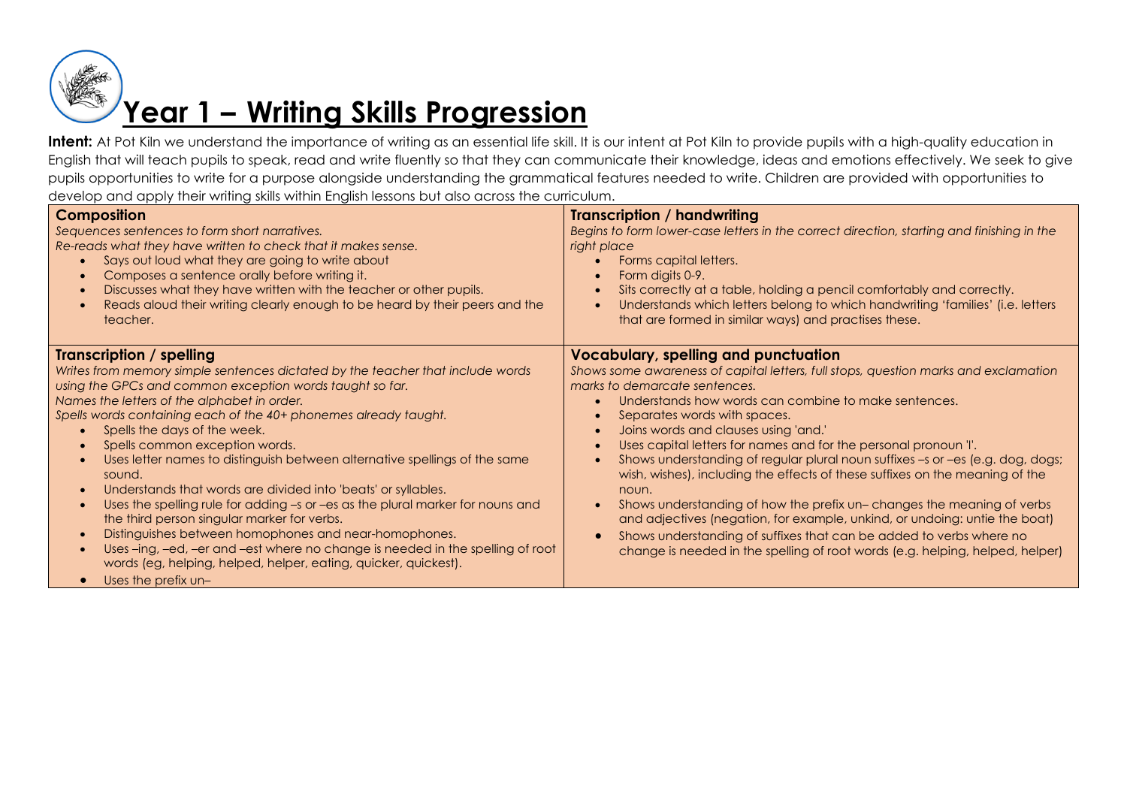

| <b>Composition</b><br>Sequences sentences to form short narratives.<br>Re-reads what they have written to check that it makes sense.<br>Says out loud what they are going to write about<br>Composes a sentence orally before writing it.<br>$\bullet$<br>Discusses what they have written with the teacher or other pupils.<br>$\bullet$<br>Reads aloud their writing clearly enough to be heard by their peers and the<br>teacher.                                                                                                                                                                                                                                                                                                                                                                                                                                                                                                                       | <b>Transcription / handwriting</b><br>Begins to form lower-case letters in the correct direction, starting and finishing in the<br>right place<br>Forms capital letters.<br>Form digits 0-9.<br>Sits correctly at a table, holding a pencil comfortably and correctly.<br>Understands which letters belong to which handwriting 'families' (i.e. letters<br>that are formed in similar ways) and practises these.                                                                                                                                                                                                                                                                                                                                                                                                                                                              |
|------------------------------------------------------------------------------------------------------------------------------------------------------------------------------------------------------------------------------------------------------------------------------------------------------------------------------------------------------------------------------------------------------------------------------------------------------------------------------------------------------------------------------------------------------------------------------------------------------------------------------------------------------------------------------------------------------------------------------------------------------------------------------------------------------------------------------------------------------------------------------------------------------------------------------------------------------------|--------------------------------------------------------------------------------------------------------------------------------------------------------------------------------------------------------------------------------------------------------------------------------------------------------------------------------------------------------------------------------------------------------------------------------------------------------------------------------------------------------------------------------------------------------------------------------------------------------------------------------------------------------------------------------------------------------------------------------------------------------------------------------------------------------------------------------------------------------------------------------|
| Transcription / spelling<br>Writes from memory simple sentences dictated by the teacher that include words<br>using the GPCs and common exception words taught so far.<br>Names the letters of the alphabet in order.<br>Spells words containing each of the 40+ phonemes already taught.<br>Spells the days of the week.<br>$\bullet$<br>Spells common exception words.<br>Uses letter names to distinguish between alternative spellings of the same<br>sound.<br>Understands that words are divided into 'beats' or syllables.<br>$\bullet$<br>Uses the spelling rule for adding -s or -es as the plural marker for nouns and<br>$\bullet$<br>the third person singular marker for verbs.<br>Distinguishes between homophones and near-homophones.<br>$\bullet$<br>Uses-ing, -ed, -er and -est where no change is needed in the spelling of root<br>$\bullet$<br>words (eg, helping, helped, helper, eating, quicker, quickest).<br>Uses the prefix un- | <b>Vocabulary, spelling and punctuation</b><br>Shows some awareness of capital letters, full stops, question marks and exclamation<br>marks to demarcate sentences.<br>Understands how words can combine to make sentences.<br>Separates words with spaces.<br>Joins words and clauses using 'and.'<br>Uses capital letters for names and for the personal pronoun 'l'.<br>Shows understanding of regular plural noun suffixes -s or -es (e.g. dog, dogs;<br>wish, wishes), including the effects of these suffixes on the meaning of the<br>noun.<br>Shows understanding of how the prefix un-changes the meaning of verbs<br>$\bullet$<br>and adjectives (negation, for example, unkind, or undoing: untie the boat)<br>Shows understanding of suffixes that can be added to verbs where no<br>change is needed in the spelling of root words (e.g. helping, helped, helper) |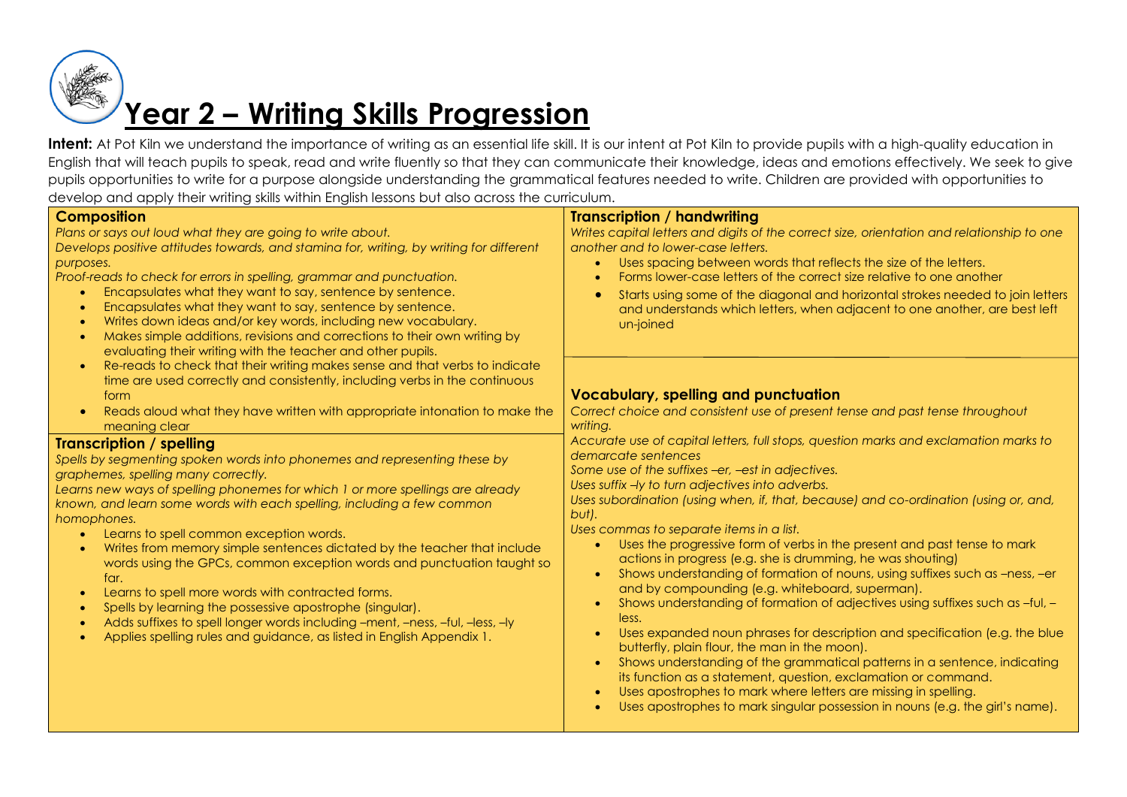

| o voide and apply more mining same minimi Engine rossonis doi aleo doi ossuno comodi                                                                                                                                                                                                                                                                                                                                                                                                                                                                                                                                                                                                                                                                                                                                                                     |                                                                                                                                                                                                                                                                                                                                                                                                                                                                                                                                                                                                                                                                                                                                                                                                                                                                                                                                                                                                                                                                                                                                                                              |
|----------------------------------------------------------------------------------------------------------------------------------------------------------------------------------------------------------------------------------------------------------------------------------------------------------------------------------------------------------------------------------------------------------------------------------------------------------------------------------------------------------------------------------------------------------------------------------------------------------------------------------------------------------------------------------------------------------------------------------------------------------------------------------------------------------------------------------------------------------|------------------------------------------------------------------------------------------------------------------------------------------------------------------------------------------------------------------------------------------------------------------------------------------------------------------------------------------------------------------------------------------------------------------------------------------------------------------------------------------------------------------------------------------------------------------------------------------------------------------------------------------------------------------------------------------------------------------------------------------------------------------------------------------------------------------------------------------------------------------------------------------------------------------------------------------------------------------------------------------------------------------------------------------------------------------------------------------------------------------------------------------------------------------------------|
| <b>Composition</b><br>Plans or says out loud what they are going to write about.<br>Develops positive attitudes towards, and stamina for, writing, by writing for different<br>purposes.<br>Proof-reads to check for errors in spelling, grammar and punctuation.<br>Encapsulates what they want to say, sentence by sentence.<br>Encapsulates what they want to say, sentence by sentence.<br>Writes down ideas and/or key words, including new vocabulary.<br>Makes simple additions, revisions and corrections to their own writing by<br>$\bullet$<br>evaluating their writing with the teacher and other pupils.                                                                                                                                                                                                                                    | <b>Transcription / handwriting</b><br>Writes capital letters and digits of the correct size, orientation and relationship to one<br>another and to lower-case letters.<br>Uses spacing between words that reflects the size of the letters.<br>Forms lower-case letters of the correct size relative to one another<br>Starts using some of the diagonal and horizontal strokes needed to join letters<br>and understands which letters, when adjacent to one another, are best left<br>un-joined                                                                                                                                                                                                                                                                                                                                                                                                                                                                                                                                                                                                                                                                            |
| Re-reads to check that their writing makes sense and that verbs to indicate<br>$\bullet$<br>time are used correctly and consistently, including verbs in the continuous<br>form<br>Reads aloud what they have written with appropriate intonation to make the<br>$\bullet$<br>meaning clear                                                                                                                                                                                                                                                                                                                                                                                                                                                                                                                                                              | <b>Vocabulary, spelling and punctuation</b><br>Correct choice and consistent use of present tense and past tense throughout<br>writing.                                                                                                                                                                                                                                                                                                                                                                                                                                                                                                                                                                                                                                                                                                                                                                                                                                                                                                                                                                                                                                      |
| <b>Transcription / spelling</b><br>Spells by segmenting spoken words into phonemes and representing these by<br>graphemes, spelling many correctly.<br>Learns new ways of spelling phonemes for which 1 or more spellings are already<br>known, and learn some words with each spelling, including a few common<br>homophones.<br>Learns to spell common exception words.<br>$\bullet$<br>Writes from memory simple sentences dictated by the teacher that include<br>words using the GPCs, common exception words and punctuation taught so<br>far.<br>Learns to spell more words with contracted forms.<br>$\bullet$<br>Spells by learning the possessive apostrophe (singular).<br>$\bullet$<br>Adds suffixes to spell longer words including -ment, -ness, -ful, -less, -ly<br>Applies spelling rules and guidance, as listed in English Appendix 1. | Accurate use of capital letters, full stops, question marks and exclamation marks to<br>demarcate sentences<br>Some use of the suffixes -er, -est in adjectives.<br>Uses suffix -ly to turn adjectives into adverbs.<br>Uses subordination (using when, if, that, because) and co-ordination (using or, and,<br>but).<br>Uses commas to separate items in a list.<br>Uses the progressive form of verbs in the present and past tense to mark<br>actions in progress (e.g. she is drumming, he was shouting)<br>Shows understanding of formation of nouns, using suffixes such as -ness, -er<br>and by compounding (e.g. whiteboard, superman).<br>Shows understanding of formation of adjectives using suffixes such as -ful, -<br>less.<br>Uses expanded noun phrases for description and specification (e.g. the blue<br>butterfly, plain flour, the man in the moon).<br>Shows understanding of the grammatical patterns in a sentence, indicating<br>its function as a statement, question, exclamation or command.<br>Uses apostrophes to mark where letters are missing in spelling.<br>Uses apostrophes to mark singular possession in nouns (e.g. the girl's name). |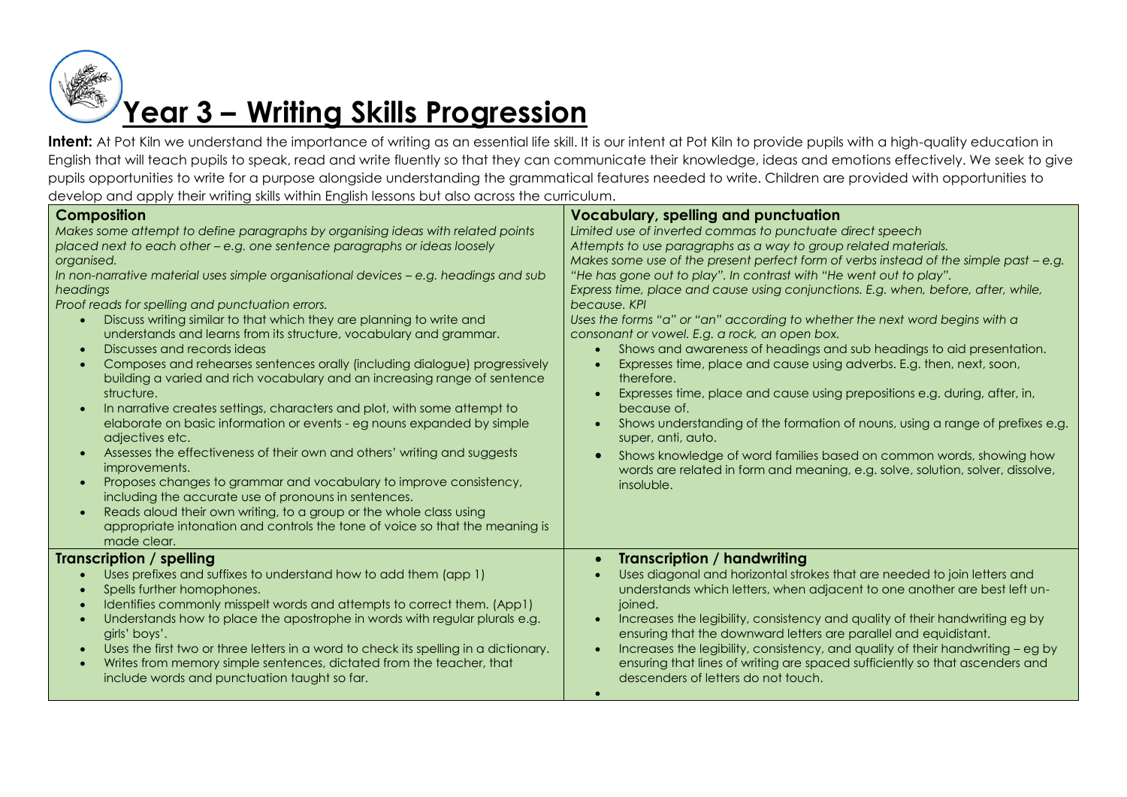

| <b>Composition</b><br>Makes some attempt to define paragraphs by organising ideas with related points<br>placed next to each other - e.g. one sentence paragraphs or ideas loosely<br>organised.<br>In non-narrative material uses simple organisational devices $-$ e.g. headings and sub<br>headings<br>Proof reads for spelling and punctuation errors.<br>Discuss writing similar to that which they are planning to write and<br>$\bullet$<br>understands and learns from its structure, vocabulary and grammar.<br>Discusses and records ideas<br>$\bullet$<br>Composes and rehearses sentences orally (including dialogue) progressively<br>$\bullet$<br>building a varied and rich vocabulary and an increasing range of sentence<br>structure.<br>In narrative creates settings, characters and plot, with some attempt to<br>$\bullet$<br>elaborate on basic information or events - eg nouns expanded by simple<br>adjectives etc.<br>Assesses the effectiveness of their own and others' writing and suggests<br>$\bullet$<br>improvements.<br>Proposes changes to grammar and vocabulary to improve consistency,<br>$\bullet$<br>including the accurate use of pronouns in sentences.<br>Reads aloud their own writing, to a group or the whole class using<br>$\bullet$<br>appropriate intonation and controls the tone of voice so that the meaning is<br>made clear. | <b>Vocabulary, spelling and punctuation</b><br>Limited use of inverted commas to punctuate direct speech<br>Attempts to use paragraphs as a way to group related materials.<br>Makes some use of the present perfect form of verbs instead of the simple past - e.g.<br>"He has gone out to play". In contrast with "He went out to play".<br>Express time, place and cause using conjunctions. E.g. when, before, after, while,<br>because. KPI<br>Uses the forms "a" or "an" according to whether the next word begins with a<br>consonant or vowel. E.g. a rock, an open box.<br>Shows and awareness of headings and sub headings to aid presentation.<br>Expresses time, place and cause using adverbs. E.g. then, next, soon,<br>therefore.<br>Expresses time, place and cause using prepositions e.g. during, after, in,<br>because of.<br>Shows understanding of the formation of nouns, using a range of prefixes e.g.<br>$\bullet$<br>super, anti, auto.<br>Shows knowledge of word families based on common words, showing how<br>words are related in form and meaning, e.g. solve, solution, solver, dissolve,<br>insoluble. |
|--------------------------------------------------------------------------------------------------------------------------------------------------------------------------------------------------------------------------------------------------------------------------------------------------------------------------------------------------------------------------------------------------------------------------------------------------------------------------------------------------------------------------------------------------------------------------------------------------------------------------------------------------------------------------------------------------------------------------------------------------------------------------------------------------------------------------------------------------------------------------------------------------------------------------------------------------------------------------------------------------------------------------------------------------------------------------------------------------------------------------------------------------------------------------------------------------------------------------------------------------------------------------------------------------------------------------------------------------------------------------------------|------------------------------------------------------------------------------------------------------------------------------------------------------------------------------------------------------------------------------------------------------------------------------------------------------------------------------------------------------------------------------------------------------------------------------------------------------------------------------------------------------------------------------------------------------------------------------------------------------------------------------------------------------------------------------------------------------------------------------------------------------------------------------------------------------------------------------------------------------------------------------------------------------------------------------------------------------------------------------------------------------------------------------------------------------------------------------------------------------------------------------------------|
| <b>Transcription / spelling</b><br>Uses prefixes and suffixes to understand how to add them (app 1)<br>Spells further homophones.<br>Identifies commonly misspelt words and attempts to correct them. (App1)<br>Understands how to place the apostrophe in words with regular plurals e.g.<br>girls' boys'.<br>Uses the first two or three letters in a word to check its spelling in a dictionary.<br>$\bullet$<br>Writes from memory simple sentences, dictated from the teacher, that<br>$\bullet$<br>include words and punctuation taught so far.                                                                                                                                                                                                                                                                                                                                                                                                                                                                                                                                                                                                                                                                                                                                                                                                                                | <b>Transcription / handwriting</b><br>Uses diagonal and horizontal strokes that are needed to join letters and<br>understands which letters, when adjacent to one another are best left un-<br>joined.<br>Increases the legibility, consistency and quality of their handwriting eg by<br>$\bullet$<br>ensuring that the downward letters are parallel and equidistant.<br>Increases the legibility, consistency, and quality of their handwriting - eg by<br>$\bullet$<br>ensuring that lines of writing are spaced sufficiently so that ascenders and<br>descenders of letters do not touch.                                                                                                                                                                                                                                                                                                                                                                                                                                                                                                                                           |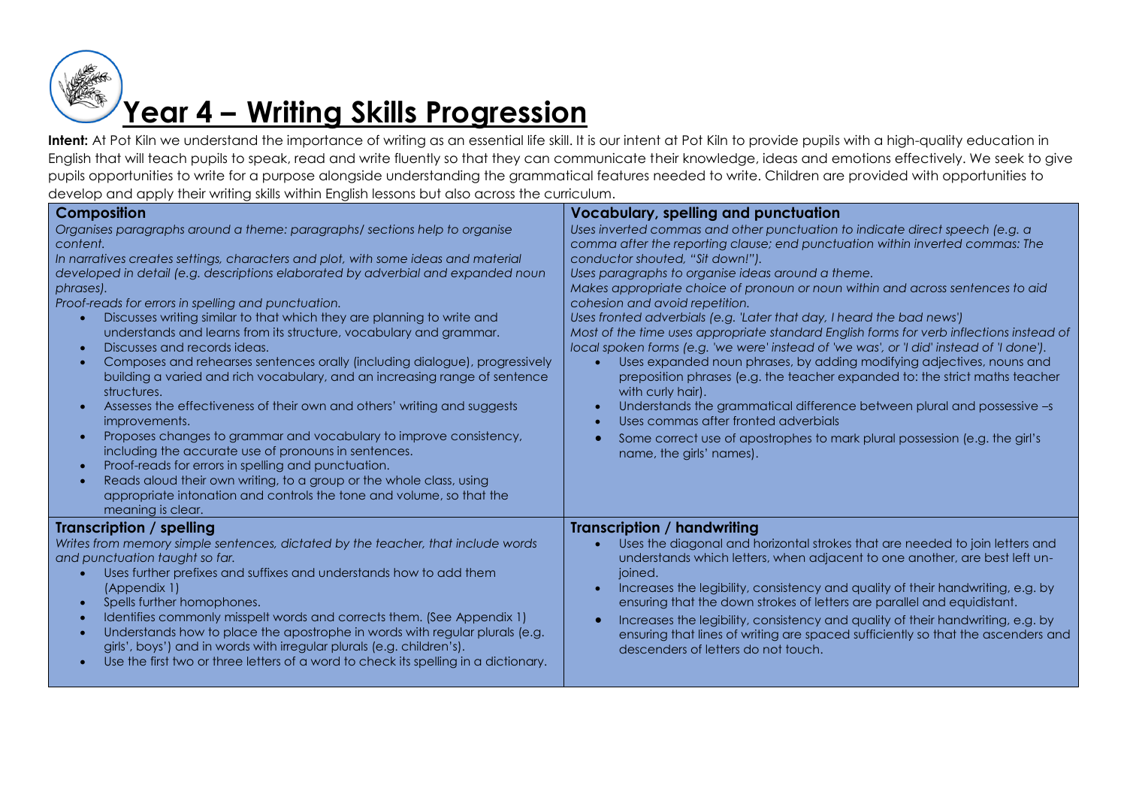

| <b>Composition</b><br>Organises paragraphs around a theme: paragraphs/sections help to organise<br>content.<br>In narratives creates settings, characters and plot, with some ideas and material<br>developed in detail (e.g. descriptions elaborated by adverbial and expanded noun<br>phrases).<br>Proof-reads for errors in spelling and punctuation.<br>Discusses writing similar to that which they are planning to write and<br>understands and learns from its structure, vocabulary and grammar.<br>Discusses and records ideas.<br>$\bullet$<br>Composes and rehearses sentences orally (including dialogue), progressively<br>$\bullet$<br>building a varied and rich vocabulary, and an increasing range of sentence<br>structures.<br>Assesses the effectiveness of their own and others' writing and suggests<br>$\bullet$<br>improvements.<br>Proposes changes to grammar and vocabulary to improve consistency,<br>$\bullet$<br>including the accurate use of pronouns in sentences.<br>Proof-reads for errors in spelling and punctuation.<br>$\bullet$<br>Reads aloud their own writing, to a group or the whole class, using<br>$\bullet$<br>appropriate intonation and controls the tone and volume, so that the<br>meaning is clear. | <b>Vocabulary, spelling and punctuation</b><br>Uses inverted commas and other punctuation to indicate direct speech (e.g. a<br>comma after the reporting clause; end punctuation within inverted commas: The<br>conductor shouted, "Sit down!").<br>Uses paragraphs to organise ideas around a theme.<br>Makes appropriate choice of pronoun or noun within and across sentences to aid<br>cohesion and avoid repetition.<br>Uses fronted adverbials (e.g. 'Later that day, I heard the bad news')<br>Most of the time uses appropriate standard English forms for verb inflections instead of<br>local spoken forms (e.g. 'we were' instead of 'we was', or 'I did' instead of 'I done').<br>Uses expanded noun phrases, by adding modifying adjectives, nouns and<br>preposition phrases (e.g. the teacher expanded to: the strict maths teacher<br>with curly hair).<br>Understands the grammatical difference between plural and possessive -s<br>Uses commas after fronted adverbials<br>Some correct use of apostrophes to mark plural possession (e.g. the girl's<br>name, the girls' names). |
|----------------------------------------------------------------------------------------------------------------------------------------------------------------------------------------------------------------------------------------------------------------------------------------------------------------------------------------------------------------------------------------------------------------------------------------------------------------------------------------------------------------------------------------------------------------------------------------------------------------------------------------------------------------------------------------------------------------------------------------------------------------------------------------------------------------------------------------------------------------------------------------------------------------------------------------------------------------------------------------------------------------------------------------------------------------------------------------------------------------------------------------------------------------------------------------------------------------------------------------------------------|------------------------------------------------------------------------------------------------------------------------------------------------------------------------------------------------------------------------------------------------------------------------------------------------------------------------------------------------------------------------------------------------------------------------------------------------------------------------------------------------------------------------------------------------------------------------------------------------------------------------------------------------------------------------------------------------------------------------------------------------------------------------------------------------------------------------------------------------------------------------------------------------------------------------------------------------------------------------------------------------------------------------------------------------------------------------------------------------------|
| Transcription / spelling<br>Writes from memory simple sentences, dictated by the teacher, that include words<br>and punctuation taught so far.<br>Uses further prefixes and suffixes and understands how to add them<br>$\bullet$<br>(Appendix 1)<br>Spells further homophones.<br>$\bullet$<br>Identifies commonly misspelt words and corrects them. (See Appendix 1)<br>$\bullet$<br>Understands how to place the apostrophe in words with regular plurals (e.g.<br>$\bullet$<br>girls', boys') and in words with irregular plurals (e.g. children's).<br>Use the first two or three letters of a word to check its spelling in a dictionary.<br>$\bullet$                                                                                                                                                                                                                                                                                                                                                                                                                                                                                                                                                                                             | <b>Transcription / handwriting</b><br>Uses the diagonal and horizontal strokes that are needed to join letters and<br>understands which letters, when adjacent to one another, are best left un-<br>joined.<br>Increases the legibility, consistency and quality of their handwriting, e.g. by<br>ensuring that the down strokes of letters are parallel and equidistant.<br>Increases the legibility, consistency and quality of their handwriting, e.g. by<br>ensuring that lines of writing are spaced sufficiently so that the ascenders and<br>descenders of letters do not touch.                                                                                                                                                                                                                                                                                                                                                                                                                                                                                                              |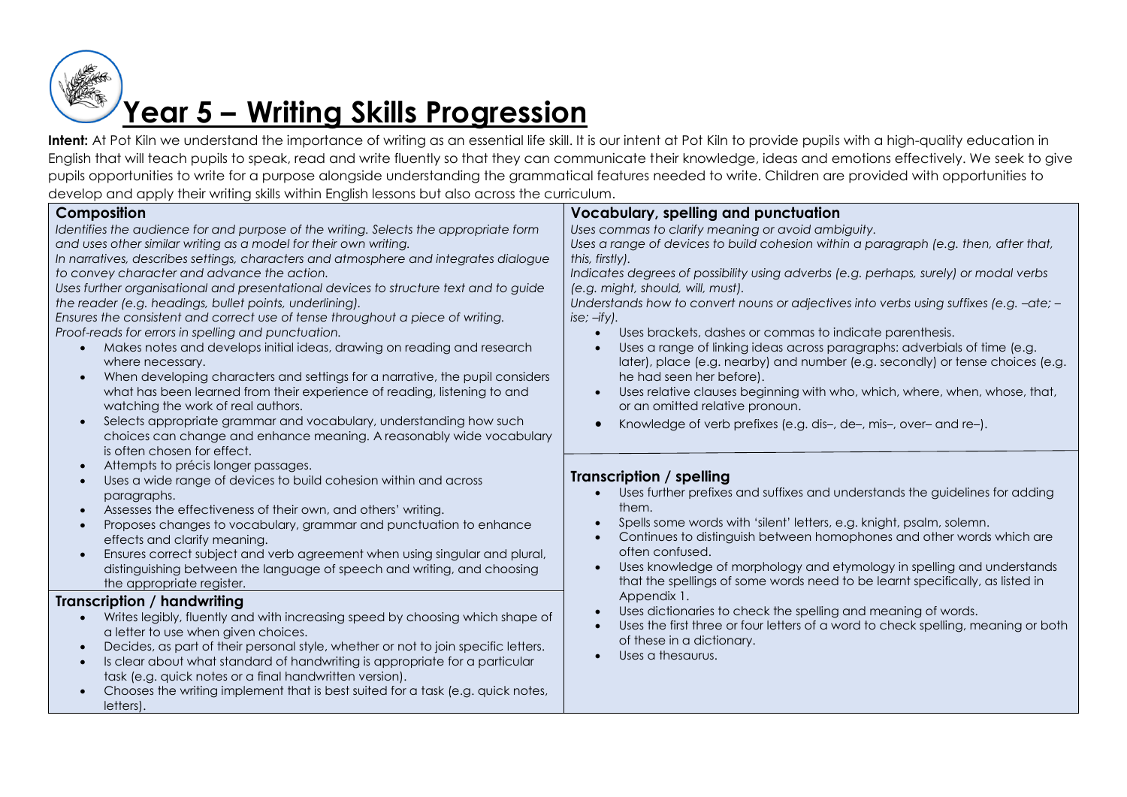

| <b>Composition</b><br>Identifies the audience for and purpose of the writing. Selects the appropriate form<br>and uses other similar writing as a model for their own writing.<br>In narratives, describes settings, characters and atmosphere and integrates dialogue<br>to convey character and advance the action.<br>Uses further organisational and presentational devices to structure text and to guide<br>the reader (e.g. headings, bullet points, underlining).<br>Ensures the consistent and correct use of tense throughout a piece of writing.<br>Proof-reads for errors in spelling and punctuation.<br>Makes notes and develops initial ideas, drawing on reading and research<br>$\bullet$<br>where necessary.<br>When developing characters and settings for a narrative, the pupil considers<br>$\bullet$<br>what has been learned from their experience of reading, listening to and<br>watching the work of real authors.<br>Selects appropriate grammar and vocabulary, understanding how such<br>$\bullet$<br>choices can change and enhance meaning. A reasonably wide vocabulary<br>is often chosen for effect.<br>Attempts to précis longer passages. | <b>Vocabulary, spelling and punctuation</b><br>Uses commas to clarify meaning or avoid ambiguity.<br>Uses a range of devices to build cohesion within a paragraph (e.g. then, after that,<br>this, firstly).<br>Indicates degrees of possibility using adverbs (e.g. perhaps, surely) or modal verbs<br>(e.g. might, should, will, must).<br>Understands how to convert nouns or adjectives into verbs using suffixes (e.g. -ate; -<br>$ise; -ify$ .<br>Uses brackets, dashes or commas to indicate parenthesis.<br>Uses a range of linking ideas across paragraphs: adverbials of time (e.g.<br>later), place (e.g. nearby) and number (e.g. secondly) or tense choices (e.g.<br>he had seen her before).<br>Uses relative clauses beginning with who, which, where, when, whose, that,<br>or an omitted relative pronoun.<br>Knowledge of verb prefixes (e.g. dis-, de-, mis-, over- and re-). |
|--------------------------------------------------------------------------------------------------------------------------------------------------------------------------------------------------------------------------------------------------------------------------------------------------------------------------------------------------------------------------------------------------------------------------------------------------------------------------------------------------------------------------------------------------------------------------------------------------------------------------------------------------------------------------------------------------------------------------------------------------------------------------------------------------------------------------------------------------------------------------------------------------------------------------------------------------------------------------------------------------------------------------------------------------------------------------------------------------------------------------------------------------------------------------------|--------------------------------------------------------------------------------------------------------------------------------------------------------------------------------------------------------------------------------------------------------------------------------------------------------------------------------------------------------------------------------------------------------------------------------------------------------------------------------------------------------------------------------------------------------------------------------------------------------------------------------------------------------------------------------------------------------------------------------------------------------------------------------------------------------------------------------------------------------------------------------------------------|
| Uses a wide range of devices to build cohesion within and across<br>paragraphs.<br>Assesses the effectiveness of their own, and others' writing.<br>$\bullet$<br>Proposes changes to vocabulary, grammar and punctuation to enhance<br>$\bullet$<br>effects and clarify meaning.<br>Ensures correct subject and verb agreement when using singular and plural,<br>$\bullet$<br>distinguishing between the language of speech and writing, and choosing<br>the appropriate register.                                                                                                                                                                                                                                                                                                                                                                                                                                                                                                                                                                                                                                                                                            | Transcription / spelling<br>Uses further prefixes and suffixes and understands the guidelines for adding<br>them.<br>Spells some words with 'silent' letters, e.g. knight, psalm, solemn.<br>Continues to distinguish between homophones and other words which are<br>often confused.<br>Uses knowledge of morphology and etymology in spelling and understands<br>that the spellings of some words need to be learnt specifically, as listed in                                                                                                                                                                                                                                                                                                                                                                                                                                                 |
| Transcription / handwriting<br>Writes legibly, fluently and with increasing speed by choosing which shape of<br>$\bullet$<br>a letter to use when given choices.<br>Decides, as part of their personal style, whether or not to join specific letters.<br>$\bullet$<br>Is clear about what standard of handwriting is appropriate for a particular<br>$\bullet$<br>task (e.g. quick notes or a final handwritten version).<br>Chooses the writing implement that is best suited for a task (e.g. quick notes,<br>letters).                                                                                                                                                                                                                                                                                                                                                                                                                                                                                                                                                                                                                                                     | Appendix 1.<br>Uses dictionaries to check the spelling and meaning of words.<br>$\bullet$<br>Uses the first three or four letters of a word to check spelling, meaning or both<br>of these in a dictionary.<br>Uses a thesaurus.                                                                                                                                                                                                                                                                                                                                                                                                                                                                                                                                                                                                                                                                 |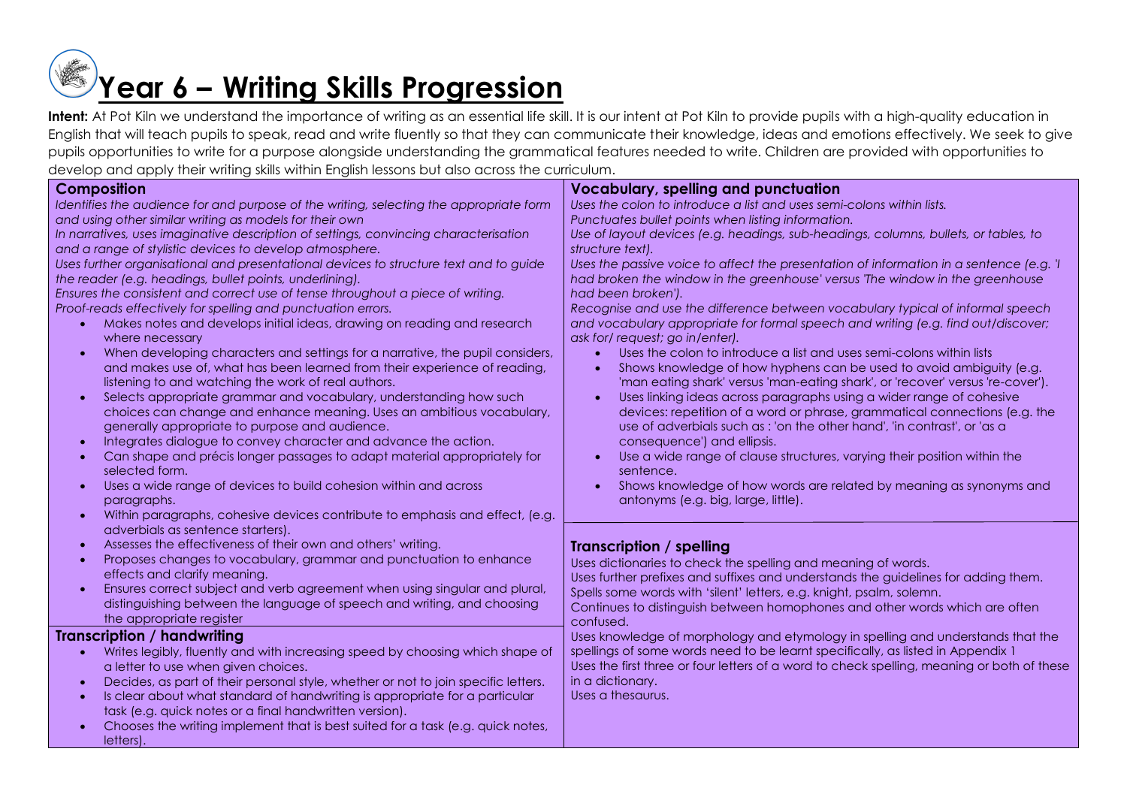## **Year 6 – Writing Skills Progression**

| Composition<br>Identifies the audience for and purpose of the writing, selecting the appropriate form<br>and using other similar writing as models for their own<br>In narratives, uses imaginative description of settings, convincing characterisation                                                                                                                                                                                                                                                                                                                                                                                                                                                                                                                                                                                                                                                                                                                                                                                                                                                                                                                                                       | <b>Vocabulary, spelling and punctuation</b><br>Uses the colon to introduce a list and uses semi-colons within lists.<br>Punctuates bullet points when listing information.<br>Use of layout devices (e.g. headings, sub-headings, columns, bullets, or tables, to                                                                                                                                                                                                                                                                                                                                                                                                                                                                                                                                                                                                                                                                                                                                                                                                                                                |
|----------------------------------------------------------------------------------------------------------------------------------------------------------------------------------------------------------------------------------------------------------------------------------------------------------------------------------------------------------------------------------------------------------------------------------------------------------------------------------------------------------------------------------------------------------------------------------------------------------------------------------------------------------------------------------------------------------------------------------------------------------------------------------------------------------------------------------------------------------------------------------------------------------------------------------------------------------------------------------------------------------------------------------------------------------------------------------------------------------------------------------------------------------------------------------------------------------------|------------------------------------------------------------------------------------------------------------------------------------------------------------------------------------------------------------------------------------------------------------------------------------------------------------------------------------------------------------------------------------------------------------------------------------------------------------------------------------------------------------------------------------------------------------------------------------------------------------------------------------------------------------------------------------------------------------------------------------------------------------------------------------------------------------------------------------------------------------------------------------------------------------------------------------------------------------------------------------------------------------------------------------------------------------------------------------------------------------------|
| and a range of stylistic devices to develop atmosphere.                                                                                                                                                                                                                                                                                                                                                                                                                                                                                                                                                                                                                                                                                                                                                                                                                                                                                                                                                                                                                                                                                                                                                        | structure text).                                                                                                                                                                                                                                                                                                                                                                                                                                                                                                                                                                                                                                                                                                                                                                                                                                                                                                                                                                                                                                                                                                 |
| Uses further organisational and presentational devices to structure text and to guide<br>the reader (e.g. headings, bullet points, underlining).<br>Ensures the consistent and correct use of tense throughout a piece of writing.<br>Proof-reads effectively for spelling and punctuation errors.<br>Makes notes and develops initial ideas, drawing on reading and research<br>where necessary<br>When developing characters and settings for a narrative, the pupil considers,<br>and makes use of, what has been learned from their experience of reading,<br>listening to and watching the work of real authors.<br>Selects appropriate grammar and vocabulary, understanding how such<br>$\bullet$<br>choices can change and enhance meaning. Uses an ambitious vocabulary,<br>generally appropriate to purpose and audience.<br>Integrates dialogue to convey character and advance the action.<br>Can shape and précis longer passages to adapt material appropriately for<br>$\bullet$<br>selected form.<br>Uses a wide range of devices to build cohesion within and across<br>$\bullet$<br>paragraphs.<br>Within paragraphs, cohesive devices contribute to emphasis and effect, (e.g.<br>$\bullet$ | Uses the passive voice to affect the presentation of information in a sentence (e.g. 'I<br>had broken the window in the greenhouse' versus 'The window in the greenhouse<br>had been broken').<br>Recognise and use the difference between vocabulary typical of informal speech<br>and vocabulary appropriate for formal speech and writing (e.g. find out/discover;<br>ask for/request; go in/enter).<br>Uses the colon to introduce a list and uses semi-colons within lists<br>Shows knowledge of how hyphens can be used to avoid ambiguity (e.g.<br>'man eating shark' versus 'man-eating shark', or 'recover' versus 're-cover').<br>Uses linking ideas across paragraphs using a wider range of cohesive<br>devices: repetition of a word or phrase, grammatical connections (e.g. the<br>use of adverbials such as : 'on the other hand', 'in contrast', or 'as a<br>consequence') and ellipsis.<br>Use a wide range of clause structures, varying their position within the<br>sentence.<br>Shows knowledge of how words are related by meaning as synonyms and<br>antonyms (e.g. big, large, little). |
| adverbials as sentence starters).<br>Assesses the effectiveness of their own and others' writing.<br>Proposes changes to vocabulary, grammar and punctuation to enhance<br>effects and clarify meaning.<br>Ensures correct subject and verb agreement when using singular and plural,<br>$\bullet$<br>distinguishing between the language of speech and writing, and choosing<br>the appropriate register                                                                                                                                                                                                                                                                                                                                                                                                                                                                                                                                                                                                                                                                                                                                                                                                      | Transcription / spelling<br>Uses dictionaries to check the spelling and meaning of words.<br>Uses further prefixes and suffixes and understands the guidelines for adding them.<br>Spells some words with 'silent' letters, e.g. knight, psalm, solemn.<br>Continues to distinguish between homophones and other words which are often<br>confused.                                                                                                                                                                                                                                                                                                                                                                                                                                                                                                                                                                                                                                                                                                                                                              |
| <b>Transcription / handwriting</b>                                                                                                                                                                                                                                                                                                                                                                                                                                                                                                                                                                                                                                                                                                                                                                                                                                                                                                                                                                                                                                                                                                                                                                             | Uses knowledge of morphology and etymology in spelling and understands that the                                                                                                                                                                                                                                                                                                                                                                                                                                                                                                                                                                                                                                                                                                                                                                                                                                                                                                                                                                                                                                  |
| Writes legibly, fluently and with increasing speed by choosing which shape of<br>a letter to use when given choices.<br>Decides, as part of their personal style, whether or not to join specific letters.<br>Is clear about what standard of handwriting is appropriate for a particular<br>task (e.g. quick notes or a final handwritten version).<br>Chooses the writing implement that is best suited for a task (e.g. quick notes,<br>letters).                                                                                                                                                                                                                                                                                                                                                                                                                                                                                                                                                                                                                                                                                                                                                           | spellings of some words need to be learnt specifically, as listed in Appendix 1<br>Uses the first three or four letters of a word to check spelling, meaning or both of these<br>in a dictionary.<br>Uses a thesaurus.                                                                                                                                                                                                                                                                                                                                                                                                                                                                                                                                                                                                                                                                                                                                                                                                                                                                                           |